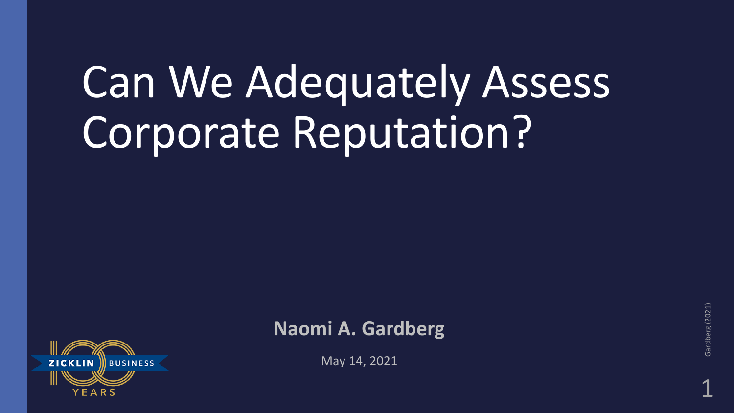## Can We Adequately Assess Corporate Reputation?



**Naomi A. Gardberg**

May 14, 2021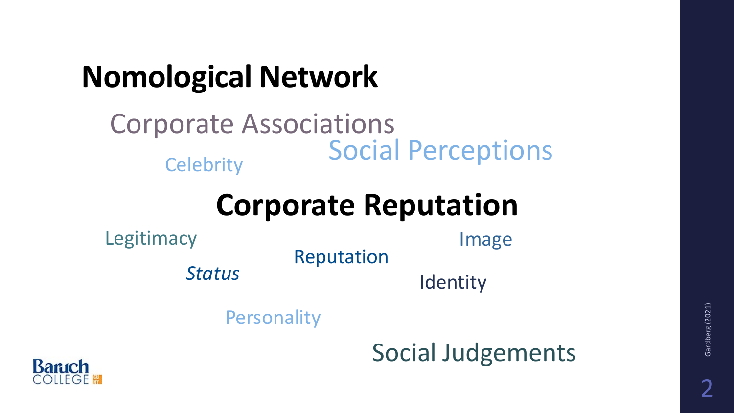

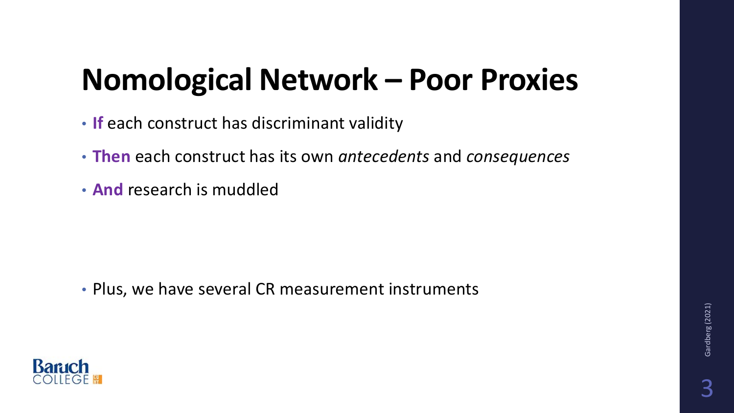### **Nomological Network – Poor Proxies**

- **If** each construct has discriminant validity
- **Then** each construct has its own *antecedents* and *consequences*
- **And** research is muddled

• Plus, we have several CR measurement instruments

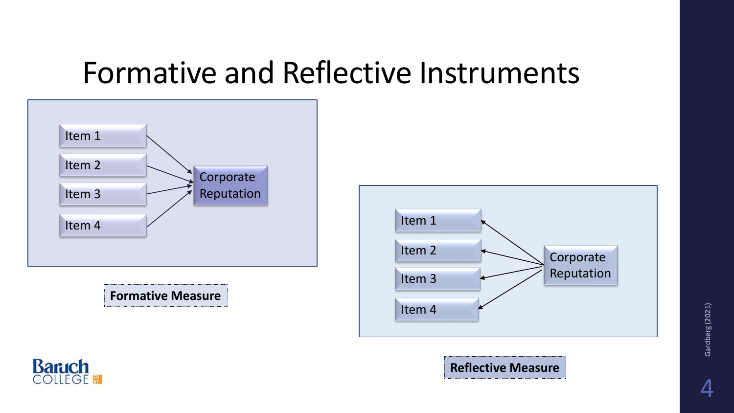#### Formative and Reflective Instruments



**Formative Measure**





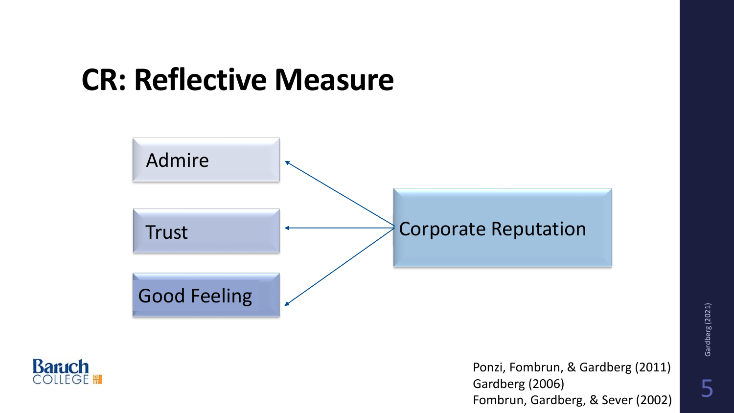### **CR: Reflective Measure**





Ponzi, Fombrun, & Gardberg (2011) Gardberg (2006) Fombrun, Gardberg, & Sever (2002)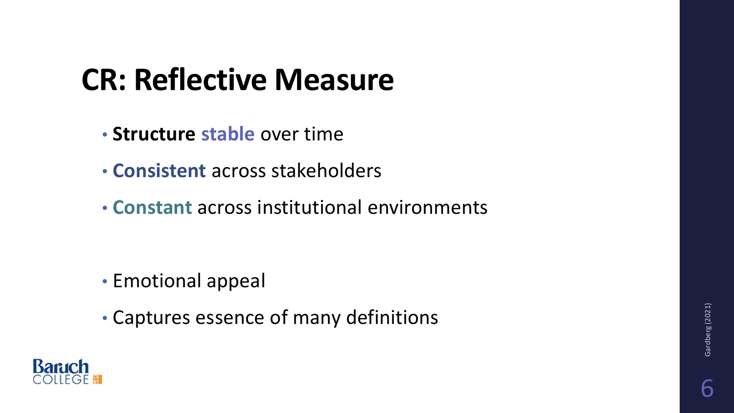### **CR: Reflective Measure**

- **Structure stable** over time
- **Consistent** across stakeholders
- **Constant** across institutional environments

- Emotional appeal
- Captures essence of many definitions

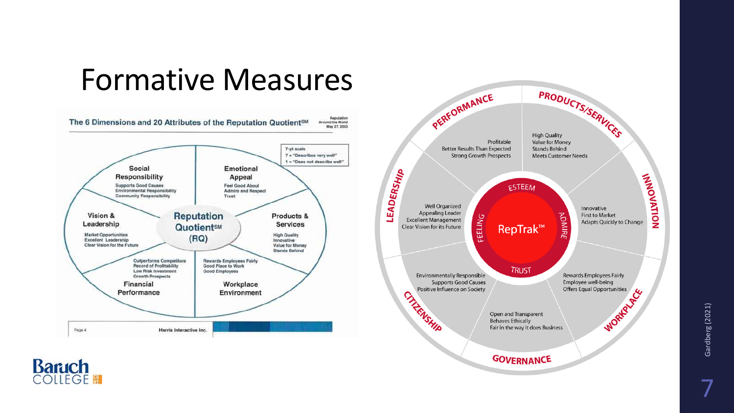#### Formative Measures



**Baruch**<br>COLLEGE



Gardberg (2021) Gardberg (2021) 7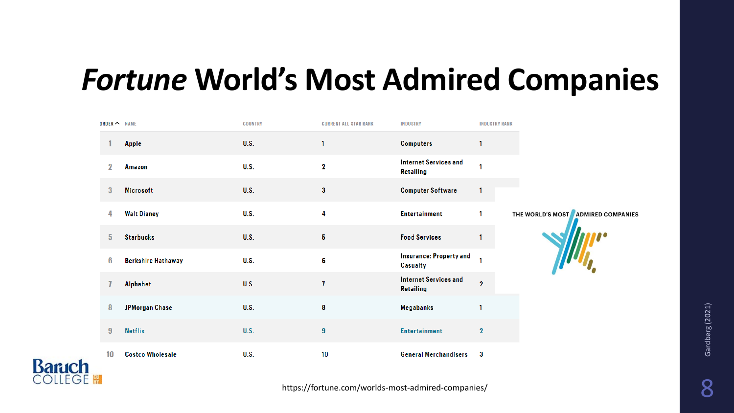#### *Fortune* **World's Most Admired Companies**

| ORDER A NAME   |                           | <b>COUNTRY</b> | <b>CURRENT ALL-STAR RANK</b> | <b>INDUSTRY</b>                                   | <b>INDUSTRY RANK</b> |                                    |
|----------------|---------------------------|----------------|------------------------------|---------------------------------------------------|----------------------|------------------------------------|
|                | Apple                     | U.S.           |                              | <b>Computers</b>                                  | 1                    |                                    |
| $\mathbf{2}$   | Amazon                    | <b>U.S.</b>    | $\mathbf 2$                  | <b>Internet Services and</b><br><b>Retailing</b>  |                      |                                    |
| 3              | <b>Microsoft</b>          | <b>U.S.</b>    | $\mathbf{3}$                 | <b>Computer Software</b>                          | 1                    |                                    |
| 4              | <b>Walt Disney</b>        | U.S.           | 4                            | <b>Entertainment</b>                              |                      | THE WORLD'S MOST ADMIRED COMPANIES |
| 5              | <b>Starbucks</b>          | <b>U.S.</b>    | 5                            | <b>Food Services</b>                              |                      |                                    |
| 6              | <b>Berkshire Hathaway</b> | U.S.           | 6                            | <b>Insurance: Property and</b><br><b>Casualty</b> |                      |                                    |
|                | Alphabet                  | <b>U.S.</b>    | $\mathbf{7}$                 | <b>Internet Services and</b><br><b>Retailing</b>  | $\overline{2}$       |                                    |
| 8              | <b>JPMorgan Chase</b>     | <b>U.S.</b>    | $\pmb{8}$                    | <b>Megabanks</b>                                  | 1                    |                                    |
| $\overline{9}$ | <b>Netflix</b>            | <b>U.S.</b>    | $\boldsymbol{9}$             | <b>Entertainment</b>                              | $\mathbf{2}$         |                                    |
| 10             | <b>Costco Wholesale</b>   | <b>U.S.</b>    | 10                           | <b>General Merchandisers</b>                      | 3                    |                                    |



https://fortune.com/worlds-most-admired-companies/ 8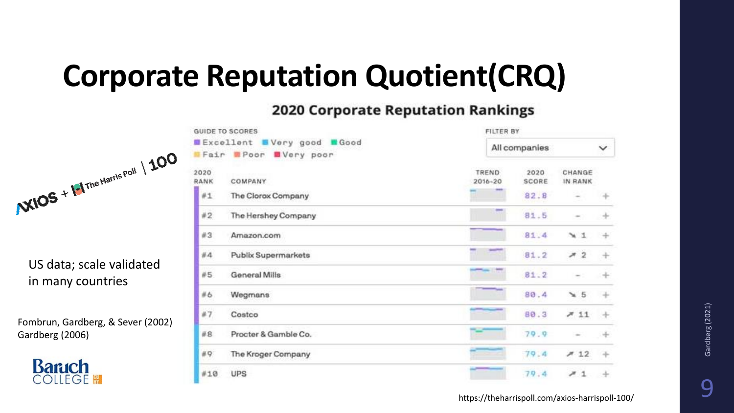#### **Corporate Reputation Quotient(CRQ)**

#### **2020 Corporate Reputation Rankings**



US data; scale validated in many countries

Fombrun, Gardberg, & Sever (2002) Gardberg (2006)



|                                | <b>GUIDE TO SCORES</b>                           |                          | <b>FILTER BY</b> |                   |        |  |  |  |
|--------------------------------|--------------------------------------------------|--------------------------|------------------|-------------------|--------|--|--|--|
|                                | Excellent Wery good #Good<br>Fair Poor Wery poor | All companies            |                  |                   |        |  |  |  |
| 2020<br>RANK<br><b>COMPANY</b> |                                                  | TREND<br>$2016 - 20$     | 2020<br>SCORE    | CHANGE<br>IN RANK |        |  |  |  |
| $\#1$                          | The Clorox Company                               |                          | 82.8             |                   |        |  |  |  |
| #2                             | The Hershey Company                              | $\overline{\phantom{a}}$ | 81.5             |                   |        |  |  |  |
| #3                             | Amazon.com                                       |                          | 81.4             | $\times 1$        | $\div$ |  |  |  |
| #4                             | Publix Supermarkets                              |                          | 81.2             | 72                | $^{+}$ |  |  |  |
| #5                             | General Mills                                    |                          | 81.2             |                   | ÷      |  |  |  |
| #6                             | Wegmans                                          |                          | 80.4             | $\mathbf{A}$ 5    | ÷      |  |  |  |
| 87                             | Costco                                           |                          | 80.3             | 711               | $+$    |  |  |  |
| #8                             | Procter & Gamble Co.                             |                          | 79.9             |                   | ÷      |  |  |  |
| #9                             | The Kroger Company                               |                          | 79.4             | 712               | ÷      |  |  |  |
| #10                            | <b>UPS</b>                                       |                          | 79.4             | 71                |        |  |  |  |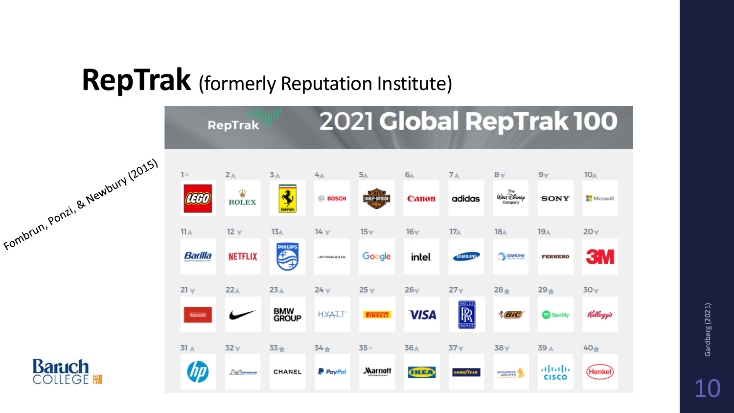#### **RepTrak** (formerly Reputation Institute)

**Baruch** 

**OLLEGE MI** 

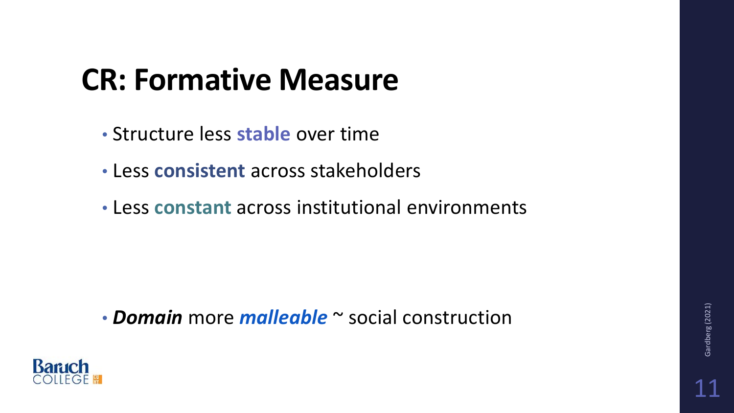### **CR: Formative Measure**

- Structure less **stable** over time
- Less **consistent** across stakeholders
- Less **constant** across institutional environments

• *Domain* more *malleable* ~ social construction

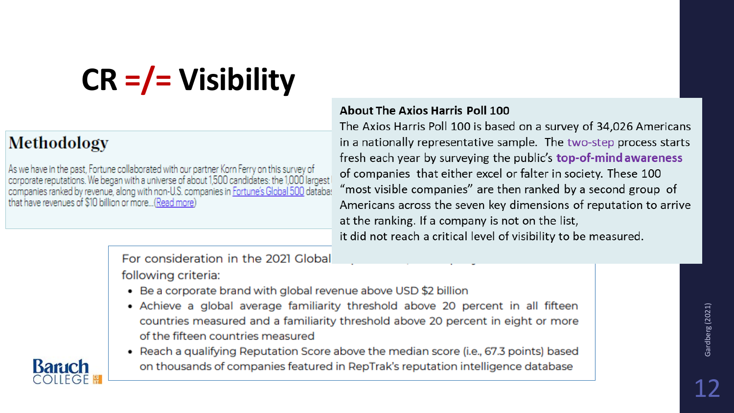## **CR =/= Visibility**

#### Methodology

As we have in the past, Fortune collaborated with our partner Korn Ferry on this survey of corporate reputations. We began with a universe of about 1,500 candidates: the 1,000 largest companies ranked by revenue, along with non-U.S. companies in Fortune's Global 500 databa: that have revenues of \$10 billion or more...(Read more)

#### **About The Axios Harris Poll 100**

The Axios Harris Poll 100 is based on a survey of 34,026 Americans in a nationally representative sample. The two-step process starts fresh each year by surveying the public's **top-of-mind awareness** of companies that either excel or falter in society. These 100 "most visible companies" are then ranked by a second group of Americans across the seven key dimensions of reputation to arrive at the ranking. If a company is not on the list, it did not reach a critical level of visibility to be measured.

For consideration in the 2021 Global following criteria:

- Be a corporate brand with global revenue above USD \$2 billion
- Achieve a global average familiarity threshold above 20 percent in all fifteen countries measured and a familiarity threshold above 20 percent in eight or more of the fifteen countries measured
- Reach a qualifying Reputation Score above the median score (i.e., 67.3 points) based on thousands of companies featured in RepTrak's reputation intelligence database





Gardberg (2021)

Gardberg (2021)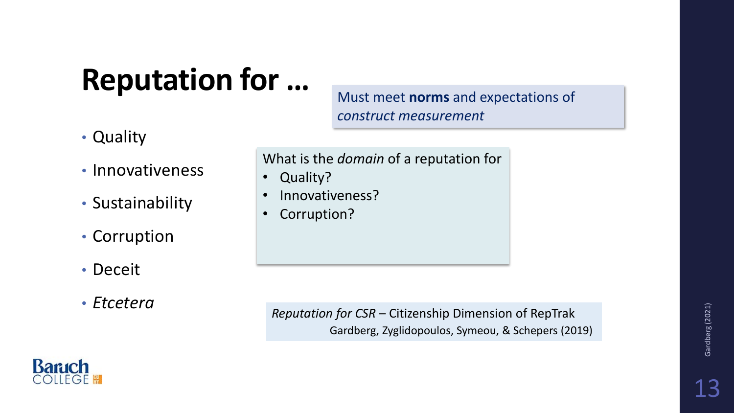#### **Reputation for …**

- Quality
- Innovativeness
- Sustainability
- Corruption
- Deceit
- *Etcetera*

Must meet **norms** and expectations of *construct measurement*

What is the *domain* of a reputation for

- Quality?
- Innovativeness?
- Corruption?

*Reputation for CSR* – Citizenship Dimension of RepTrak Gardberg, Zyglidopoulos, Symeou, & Schepers (2019)

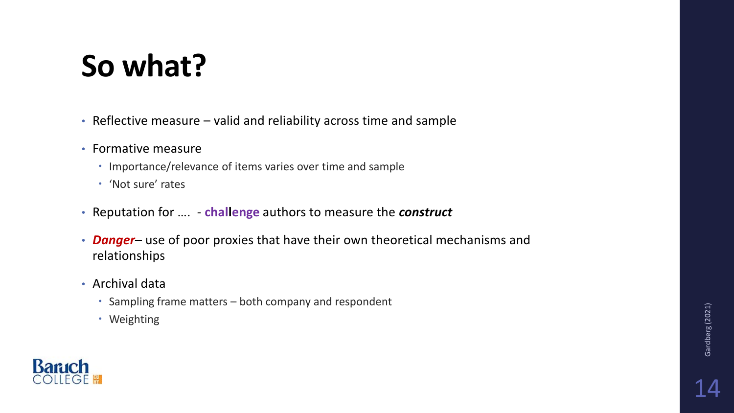### **So what?**

- Reflective measure valid and reliability across time and sample
- Formative measure
	- Importance/relevance of items varies over time and sample
	- 'Not sure' rates
- Reputation for …. **challenge** authors to measure the *construct*
- *Danger* use of poor proxies that have their own theoretical mechanisms and relationships
- Archival data
	- Sampling frame matters both company and respondent
	- Weighting

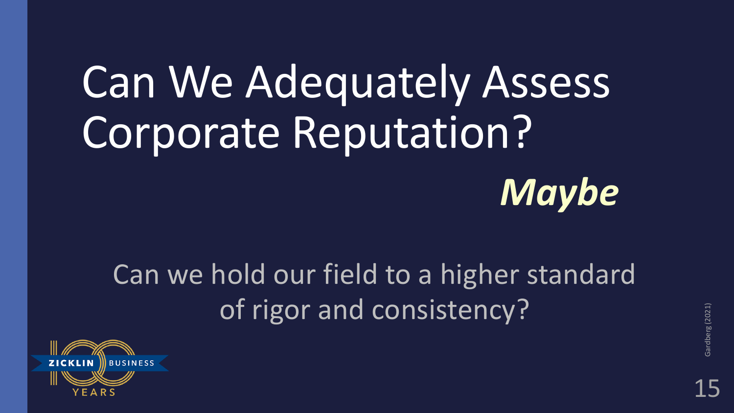# Can We Adequately Assess Corporate Reputation?



#### Can we hold our field to a higher standard of rigor and consistency?